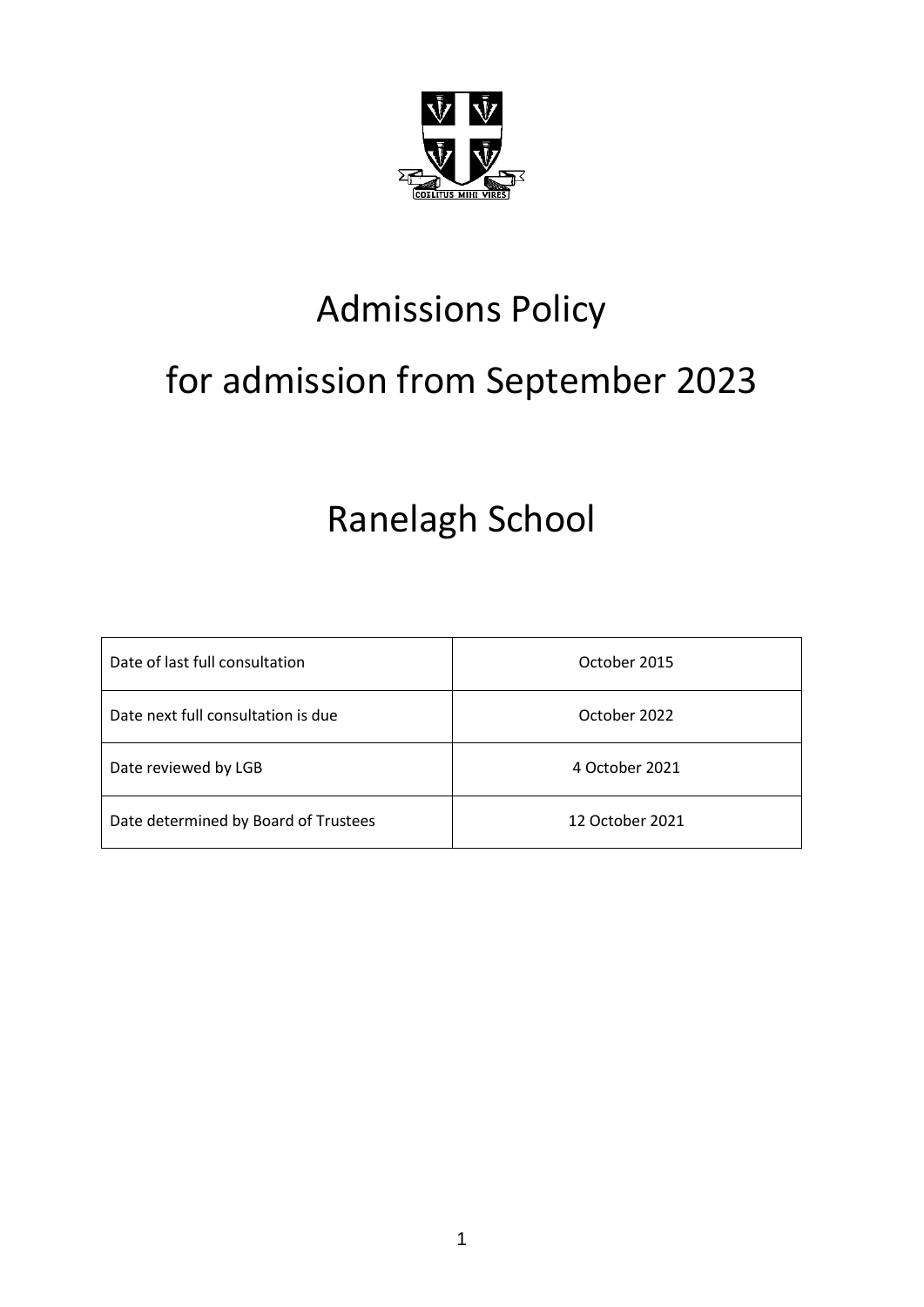

# Admissions Policy

# for admission from September 2023

## Ranelagh School

| Date of last full consultation       | October 2015    |
|--------------------------------------|-----------------|
| Date next full consultation is due   | October 2022    |
| Date reviewed by LGB                 | 4 October 2021  |
| Date determined by Board of Trustees | 12 October 2021 |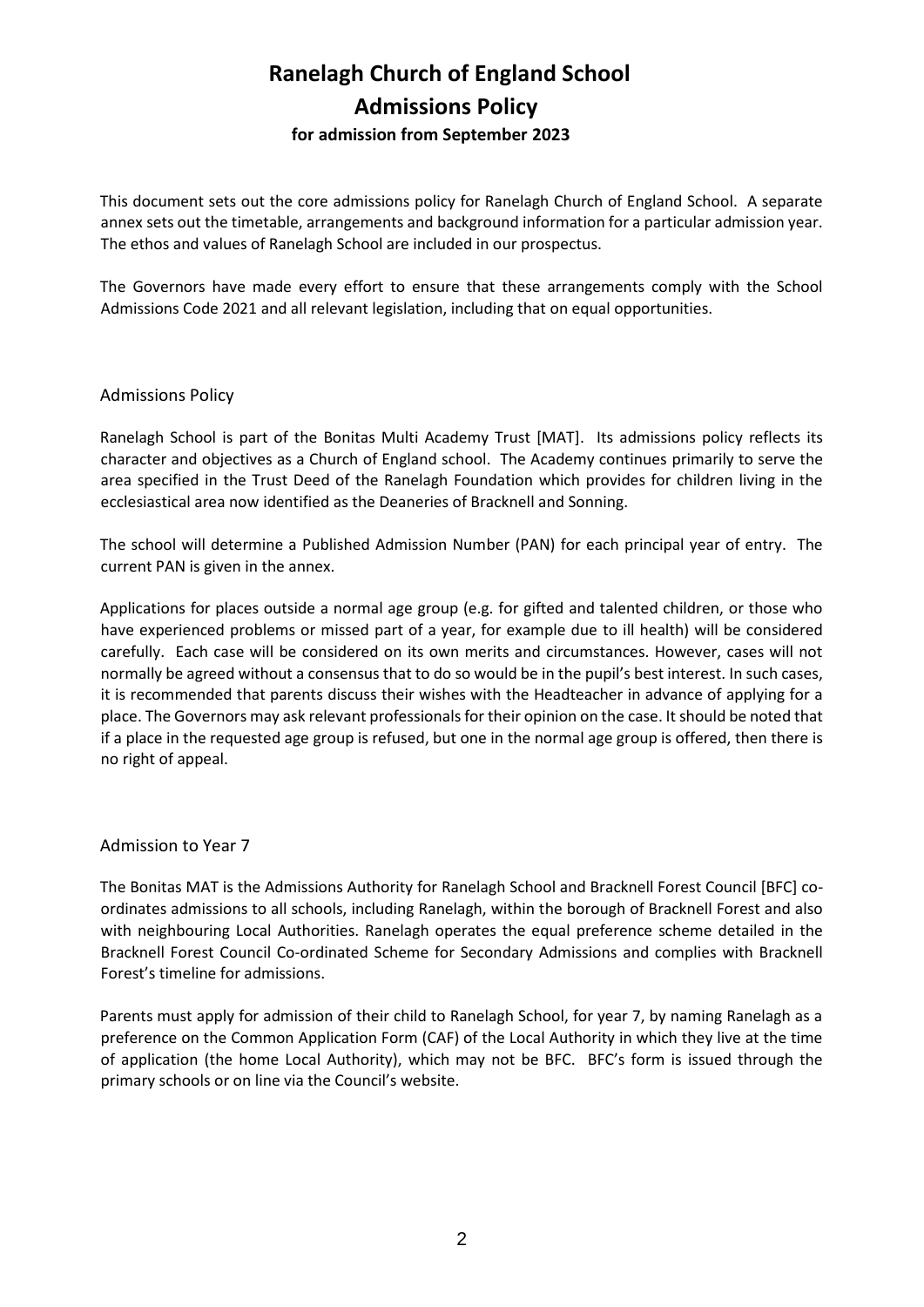### **Ranelagh Church of England School Admissions Policy for admission from September 2023**

This document sets out the core admissions policy for Ranelagh Church of England School. A separate annex sets out the timetable, arrangements and background information for a particular admission year. The ethos and values of Ranelagh School are included in our prospectus.

The Governors have made every effort to ensure that these arrangements comply with the School Admissions Code 2021 and all relevant legislation, including that on equal opportunities.

#### Admissions Policy

Ranelagh School is part of the Bonitas Multi Academy Trust [MAT]. Its admissions policy reflects its character and objectives as a Church of England school. The Academy continues primarily to serve the area specified in the Trust Deed of the Ranelagh Foundation which provides for children living in the ecclesiastical area now identified as the Deaneries of Bracknell and Sonning.

The school will determine a Published Admission Number (PAN) for each principal year of entry. The current PAN is given in the annex.

Applications for places outside a normal age group (e.g. for gifted and talented children, or those who have experienced problems or missed part of a year, for example due to ill health) will be considered carefully. Each case will be considered on its own merits and circumstances. However, cases will not normally be agreed without a consensus that to do so would be in the pupil's best interest. In such cases, it is recommended that parents discuss their wishes with the Headteacher in advance of applying for a place. The Governors may ask relevant professionals for their opinion on the case. It should be noted that if a place in the requested age group is refused, but one in the normal age group is offered, then there is no right of appeal.

#### Admission to Year 7

The Bonitas MAT is the Admissions Authority for Ranelagh School and Bracknell Forest Council [BFC] coordinates admissions to all schools, including Ranelagh, within the borough of Bracknell Forest and also with neighbouring Local Authorities. Ranelagh operates the equal preference scheme detailed in the Bracknell Forest Council Co-ordinated Scheme for Secondary Admissions and complies with Bracknell Forest's timeline for admissions.

Parents must apply for admission of their child to Ranelagh School, for year 7, by naming Ranelagh as a preference on the Common Application Form (CAF) of the Local Authority in which they live at the time of application (the home Local Authority), which may not be BFC. BFC's form is issued through the primary schools or on line via the Council's website.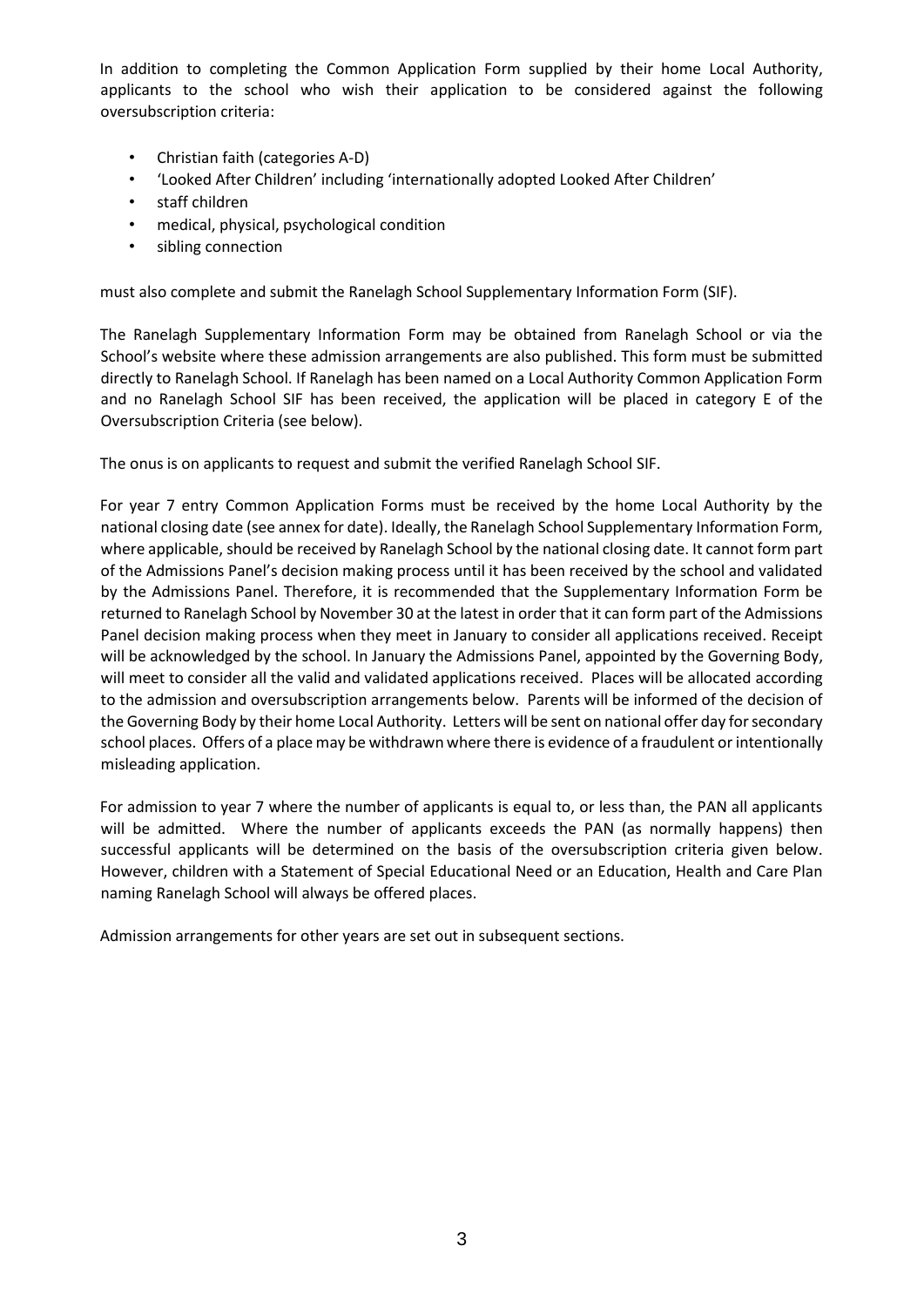In addition to completing the Common Application Form supplied by their home Local Authority, applicants to the school who wish their application to be considered against the following oversubscription criteria:

- Christian faith (categories A-D)
- 'Looked After Children' including 'internationally adopted Looked After Children'
- staff children
- medical, physical, psychological condition
- sibling connection

must also complete and submit the Ranelagh School Supplementary Information Form (SIF).

The Ranelagh Supplementary Information Form may be obtained from Ranelagh School or via the School's website where these admission arrangements are also published. This form must be submitted directly to Ranelagh School. If Ranelagh has been named on a Local Authority Common Application Form and no Ranelagh School SIF has been received, the application will be placed in category E of the Oversubscription Criteria (see below).

The onus is on applicants to request and submit the verified Ranelagh School SIF.

For year 7 entry Common Application Forms must be received by the home Local Authority by the national closing date (see annex for date). Ideally, the Ranelagh School Supplementary Information Form, where applicable, should be received by Ranelagh School by the national closing date. It cannot form part of the Admissions Panel's decision making process until it has been received by the school and validated by the Admissions Panel. Therefore, it is recommended that the Supplementary Information Form be returned to Ranelagh School by November 30 at the latest in order that it can form part of the Admissions Panel decision making process when they meet in January to consider all applications received. Receipt will be acknowledged by the school. In January the Admissions Panel, appointed by the Governing Body, will meet to consider all the valid and validated applications received. Places will be allocated according to the admission and oversubscription arrangements below. Parents will be informed of the decision of the Governing Body by their home Local Authority. Letters will be sent on national offer day for secondary school places. Offers of a place may be withdrawn where there is evidence of a fraudulent or intentionally misleading application.

For admission to year 7 where the number of applicants is equal to, or less than, the PAN all applicants will be admitted. Where the number of applicants exceeds the PAN (as normally happens) then successful applicants will be determined on the basis of the oversubscription criteria given below. However, children with a Statement of Special Educational Need or an Education, Health and Care Plan naming Ranelagh School will always be offered places.

Admission arrangements for other years are set out in subsequent sections.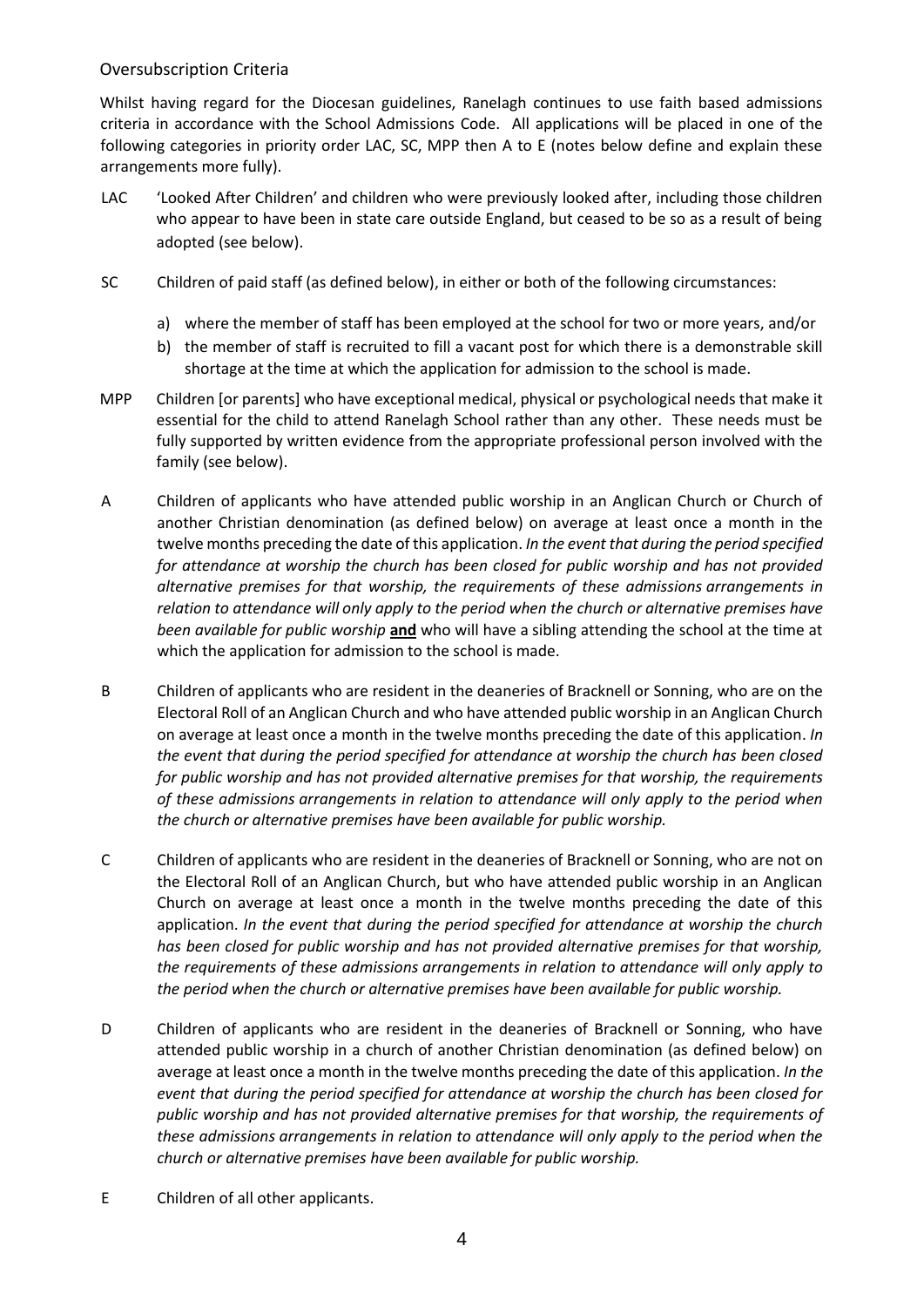#### Oversubscription Criteria

Whilst having regard for the Diocesan guidelines, Ranelagh continues to use faith based admissions criteria in accordance with the School Admissions Code. All applications will be placed in one of the following categories in priority order LAC, SC, MPP then A to E (notes below define and explain these arrangements more fully).

- LAC 'Looked After Children' and children who were previously looked after, including those children who appear to have been in state care outside England, but ceased to be so as a result of being adopted (see below).
- SC Children of paid staff (as defined below), in either or both of the following circumstances:
	- a) where the member of staff has been employed at the school for two or more years, and/or
	- b) the member of staff is recruited to fill a vacant post for which there is a demonstrable skill shortage at the time at which the application for admission to the school is made.
- MPP Children [or parents] who have exceptional medical, physical or psychological needs that make it essential for the child to attend Ranelagh School rather than any other. These needs must be fully supported by written evidence from the appropriate professional person involved with the family (see below).
- A Children of applicants who have attended public worship in an Anglican Church or Church of another Christian denomination (as defined below) on average at least once a month in the twelve months preceding the date of this application. *In the event that during the period specified for attendance at worship the church has been closed for public worship and has not provided alternative premises for that worship, the requirements of these admissions arrangements in relation to attendance will only apply to the period when the church or alternative premises have been available for public worship* **and** who will have a sibling attending the school at the time at which the application for admission to the school is made.
- B Children of applicants who are resident in the deaneries of Bracknell or Sonning, who are on the Electoral Roll of an Anglican Church and who have attended public worship in an Anglican Church on average at least once a month in the twelve months preceding the date of this application. *In the event that during the period specified for attendance at worship the church has been closed for public worship and has not provided alternative premises for that worship, the requirements of these admissions arrangements in relation to attendance will only apply to the period when the church or alternative premises have been available for public worship.*
- C Children of applicants who are resident in the deaneries of Bracknell or Sonning, who are not on the Electoral Roll of an Anglican Church, but who have attended public worship in an Anglican Church on average at least once a month in the twelve months preceding the date of this application. *In the event that during the period specified for attendance at worship the church has been closed for public worship and has not provided alternative premises for that worship, the requirements of these admissions arrangements in relation to attendance will only apply to the period when the church or alternative premises have been available for public worship.*
- D Children of applicants who are resident in the deaneries of Bracknell or Sonning, who have attended public worship in a church of another Christian denomination (as defined below) on average at least once a month in the twelve months preceding the date of this application. *In the event that during the period specified for attendance at worship the church has been closed for public worship and has not provided alternative premises for that worship, the requirements of these admissions arrangements in relation to attendance will only apply to the period when the church or alternative premises have been available for public worship.*
- E Children of all other applicants.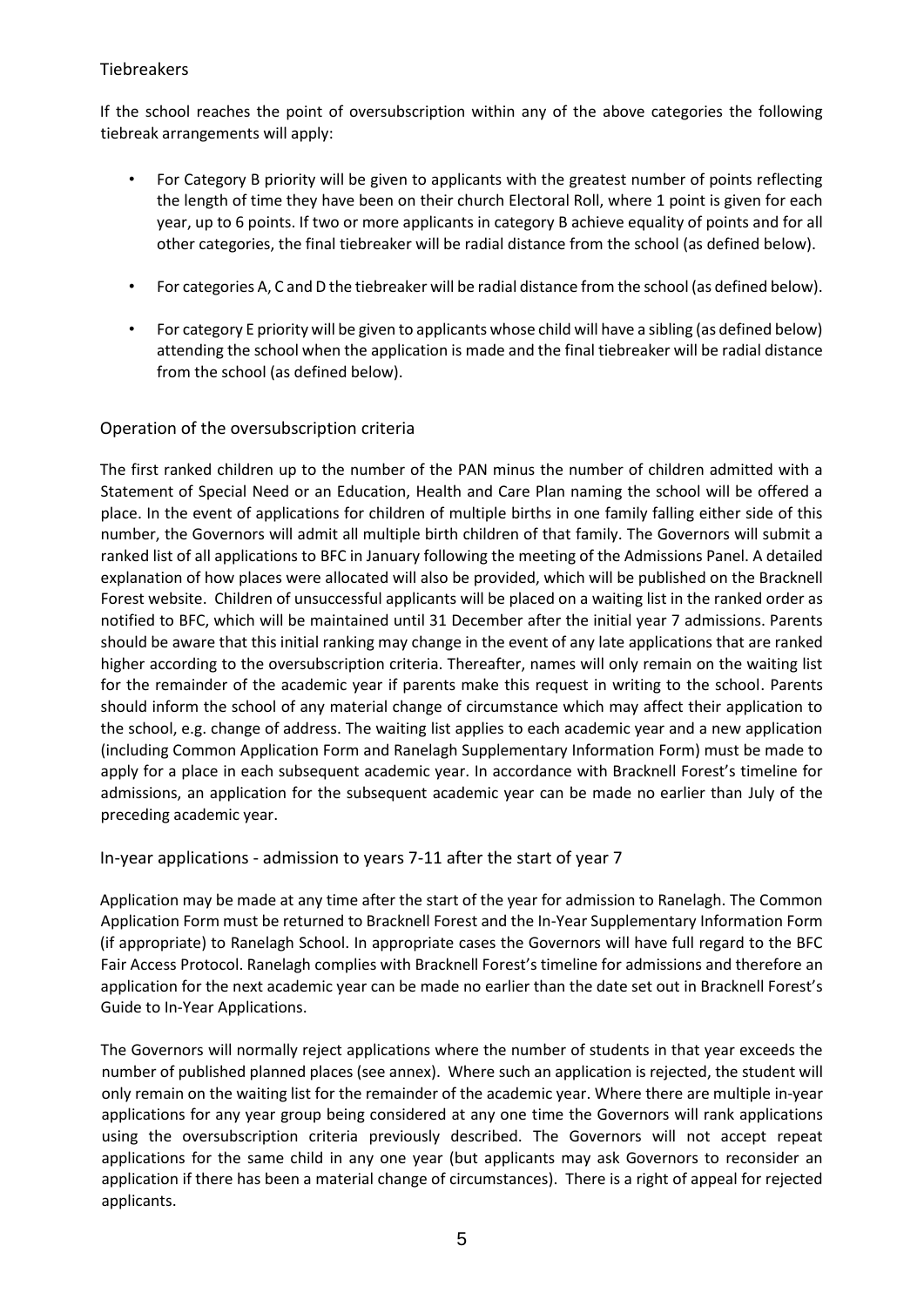#### Tiebreakers

If the school reaches the point of oversubscription within any of the above categories the following tiebreak arrangements will apply:

- For Category B priority will be given to applicants with the greatest number of points reflecting the length of time they have been on their church Electoral Roll, where 1 point is given for each year, up to 6 points. If two or more applicants in category B achieve equality of points and for all other categories, the final tiebreaker will be radial distance from the school (as defined below).
- For categories A, C and D the tiebreaker will be radial distance from the school (as defined below).
- For category E priority will be given to applicants whose child will have a sibling (as defined below) attending the school when the application is made and the final tiebreaker will be radial distance from the school (as defined below).

#### Operation of the oversubscription criteria

The first ranked children up to the number of the PAN minus the number of children admitted with a Statement of Special Need or an Education, Health and Care Plan naming the school will be offered a place. In the event of applications for children of multiple births in one family falling either side of this number, the Governors will admit all multiple birth children of that family. The Governors will submit a ranked list of all applications to BFC in January following the meeting of the Admissions Panel. A detailed explanation of how places were allocated will also be provided, which will be published on the Bracknell Forest website. Children of unsuccessful applicants will be placed on a waiting list in the ranked order as notified to BFC, which will be maintained until 31 December after the initial year 7 admissions. Parents should be aware that this initial ranking may change in the event of any late applications that are ranked higher according to the oversubscription criteria. Thereafter, names will only remain on the waiting list for the remainder of the academic year if parents make this request in writing to the school. Parents should inform the school of any material change of circumstance which may affect their application to the school, e.g. change of address. The waiting list applies to each academic year and a new application (including Common Application Form and Ranelagh Supplementary Information Form) must be made to apply for a place in each subsequent academic year. In accordance with Bracknell Forest's timeline for admissions, an application for the subsequent academic year can be made no earlier than July of the preceding academic year.

In-year applications - admission to years 7-11 after the start of year 7

Application may be made at any time after the start of the year for admission to Ranelagh. The Common Application Form must be returned to Bracknell Forest and the In-Year Supplementary Information Form (if appropriate) to Ranelagh School. In appropriate cases the Governors will have full regard to the BFC Fair Access Protocol. Ranelagh complies with Bracknell Forest's timeline for admissions and therefore an application for the next academic year can be made no earlier than the date set out in Bracknell Forest's Guide to In-Year Applications.

The Governors will normally reject applications where the number of students in that year exceeds the number of published planned places (see annex). Where such an application is rejected, the student will only remain on the waiting list for the remainder of the academic year. Where there are multiple in-year applications for any year group being considered at any one time the Governors will rank applications using the oversubscription criteria previously described. The Governors will not accept repeat applications for the same child in any one year (but applicants may ask Governors to reconsider an application if there has been a material change of circumstances). There is a right of appeal for rejected applicants.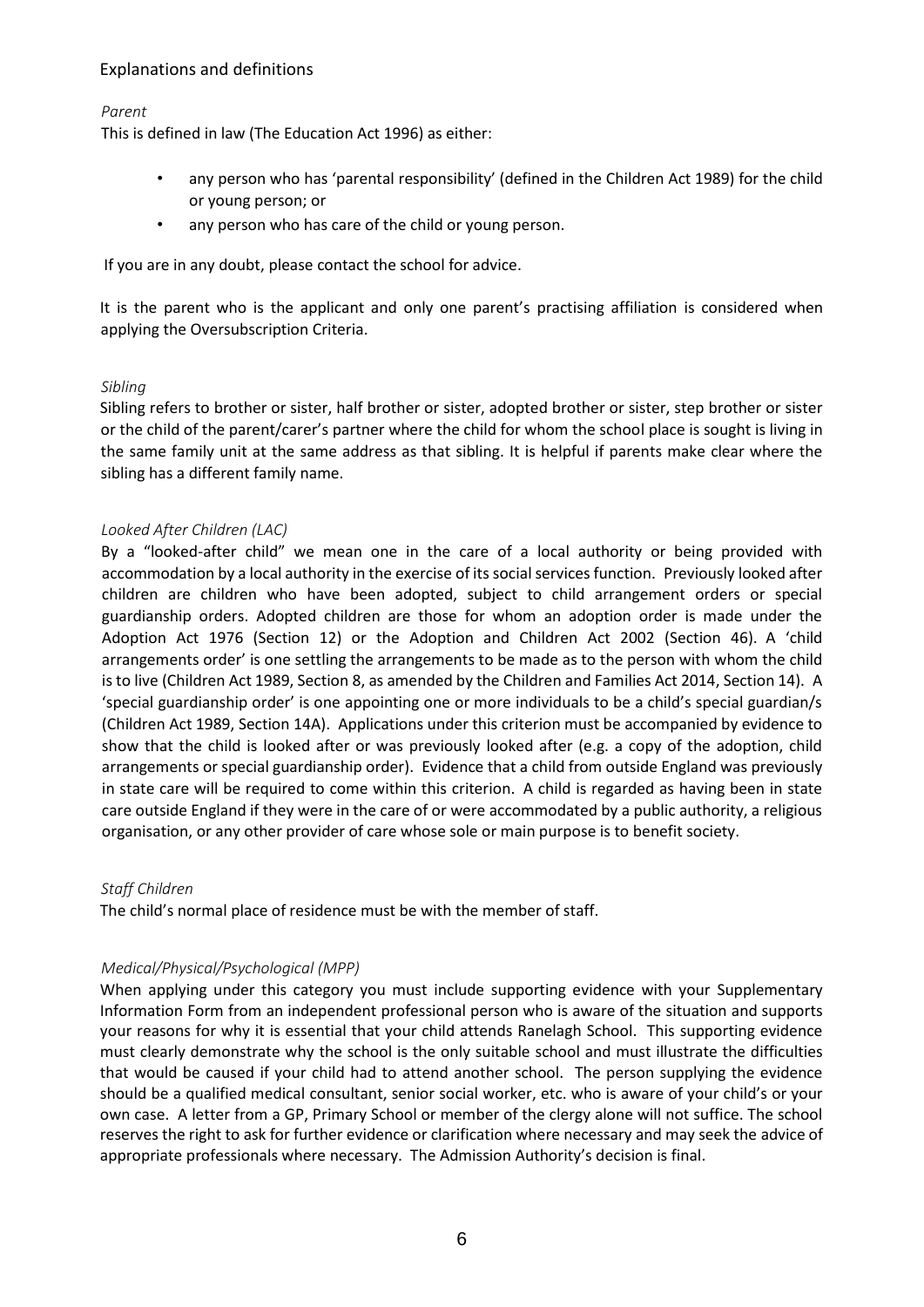#### Explanations and definitions

*Parent*

This is defined in law (The Education Act 1996) as either:

- any person who has 'parental responsibility' (defined in the Children Act 1989) for the child or young person; or
- any person who has care of the child or young person.

If you are in any doubt, please contact the school for advice.

It is the parent who is the applicant and only one parent's practising affiliation is considered when applying the Oversubscription Criteria.

#### *Sibling*

Sibling refers to brother or sister, half brother or sister, adopted brother or sister, step brother or sister or the child of the parent/carer's partner where the child for whom the school place is sought is living in the same family unit at the same address as that sibling. It is helpful if parents make clear where the sibling has a different family name.

#### *Looked After Children (LAC)*

By a "looked-after child" we mean one in the care of a local authority or being provided with accommodation by a local authority in the exercise of its social services function. Previously looked after children are children who have been adopted, subject to child arrangement orders or special guardianship orders. Adopted children are those for whom an adoption order is made under the Adoption Act 1976 (Section 12) or the Adoption and Children Act 2002 (Section 46). A 'child arrangements order' is one settling the arrangements to be made as to the person with whom the child is to live (Children Act 1989, Section 8, as amended by the Children and Families Act 2014, Section 14). A 'special guardianship order' is one appointing one or more individuals to be a child's special guardian/s (Children Act 1989, Section 14A). Applications under this criterion must be accompanied by evidence to show that the child is looked after or was previously looked after (e.g. a copy of the adoption, child arrangements or special guardianship order). Evidence that a child from outside England was previously in state care will be required to come within this criterion. A child is regarded as having been in state care outside England if they were in the care of or were accommodated by a public authority, a religious organisation, or any other provider of care whose sole or main purpose is to benefit society.

#### *Staff Children*

The child's normal place of residence must be with the member of staff.

#### *Medical/Physical/Psychological (MPP)*

When applying under this category you must include supporting evidence with your Supplementary Information Form from an independent professional person who is aware of the situation and supports your reasons for why it is essential that your child attends Ranelagh School. This supporting evidence must clearly demonstrate why the school is the only suitable school and must illustrate the difficulties that would be caused if your child had to attend another school. The person supplying the evidence should be a qualified medical consultant, senior social worker, etc. who is aware of your child's or your own case. A letter from a GP, Primary School or member of the clergy alone will not suffice. The school reserves the right to ask for further evidence or clarification where necessary and may seek the advice of appropriate professionals where necessary. The Admission Authority's decision is final.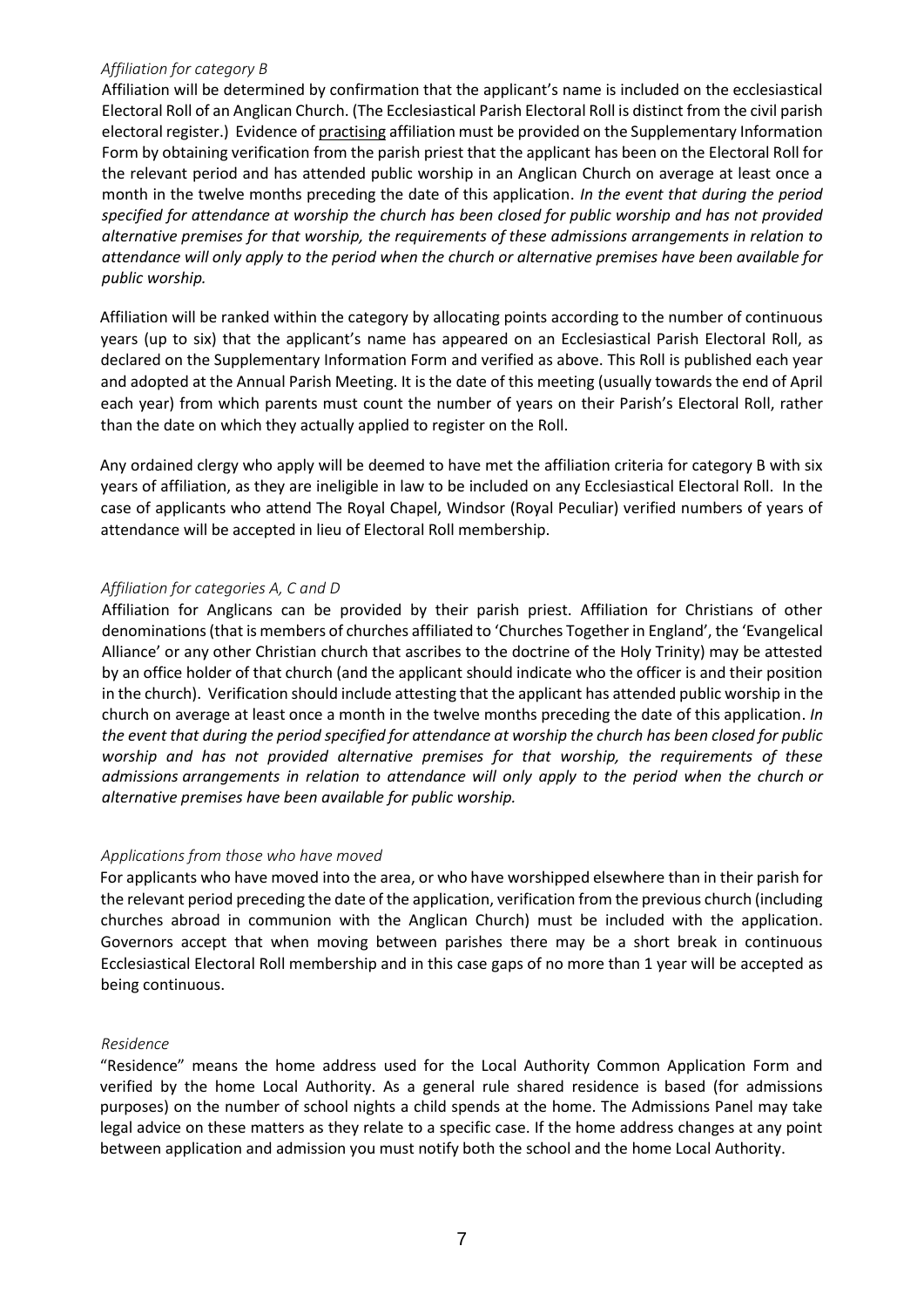#### *Affiliation for category B*

Affiliation will be determined by confirmation that the applicant's name is included on the ecclesiastical Electoral Roll of an Anglican Church. (The Ecclesiastical Parish Electoral Roll is distinct from the civil parish electoral register.) Evidence of practising affiliation must be provided on the Supplementary Information Form by obtaining verification from the parish priest that the applicant has been on the Electoral Roll for the relevant period and has attended public worship in an Anglican Church on average at least once a month in the twelve months preceding the date of this application. *In the event that during the period specified for attendance at worship the church has been closed for public worship and has not provided alternative premises for that worship, the requirements of these admissions arrangements in relation to attendance will only apply to the period when the church or alternative premises have been available for public worship.*

Affiliation will be ranked within the category by allocating points according to the number of continuous years (up to six) that the applicant's name has appeared on an Ecclesiastical Parish Electoral Roll, as declared on the Supplementary Information Form and verified as above. This Roll is published each year and adopted at the Annual Parish Meeting. It is the date of this meeting (usually towards the end of April each year) from which parents must count the number of years on their Parish's Electoral Roll, rather than the date on which they actually applied to register on the Roll.

Any ordained clergy who apply will be deemed to have met the affiliation criteria for category B with six years of affiliation, as they are ineligible in law to be included on any Ecclesiastical Electoral Roll. In the case of applicants who attend The Royal Chapel, Windsor (Royal Peculiar) verified numbers of years of attendance will be accepted in lieu of Electoral Roll membership.

#### *Affiliation for categories A, C and D*

Affiliation for Anglicans can be provided by their parish priest. Affiliation for Christians of other denominations (that is members of churches affiliated to 'Churches Together in England', the 'Evangelical Alliance' or any other Christian church that ascribes to the doctrine of the Holy Trinity) may be attested by an office holder of that church (and the applicant should indicate who the officer is and their position in the church). Verification should include attesting that the applicant has attended public worship in the church on average at least once a month in the twelve months preceding the date of this application. *In the event that during the period specified for attendance at worship the church has been closed for public worship and has not provided alternative premises for that worship, the requirements of these admissions arrangements in relation to attendance will only apply to the period when the church or alternative premises have been available for public worship.*

#### *Applications from those who have moved*

For applicants who have moved into the area, or who have worshipped elsewhere than in their parish for the relevant period preceding the date of the application, verification from the previous church (including churches abroad in communion with the Anglican Church) must be included with the application. Governors accept that when moving between parishes there may be a short break in continuous Ecclesiastical Electoral Roll membership and in this case gaps of no more than 1 year will be accepted as being continuous.

#### *Residence*

"Residence" means the home address used for the Local Authority Common Application Form and verified by the home Local Authority. As a general rule shared residence is based (for admissions purposes) on the number of school nights a child spends at the home. The Admissions Panel may take legal advice on these matters as they relate to a specific case. If the home address changes at any point between application and admission you must notify both the school and the home Local Authority.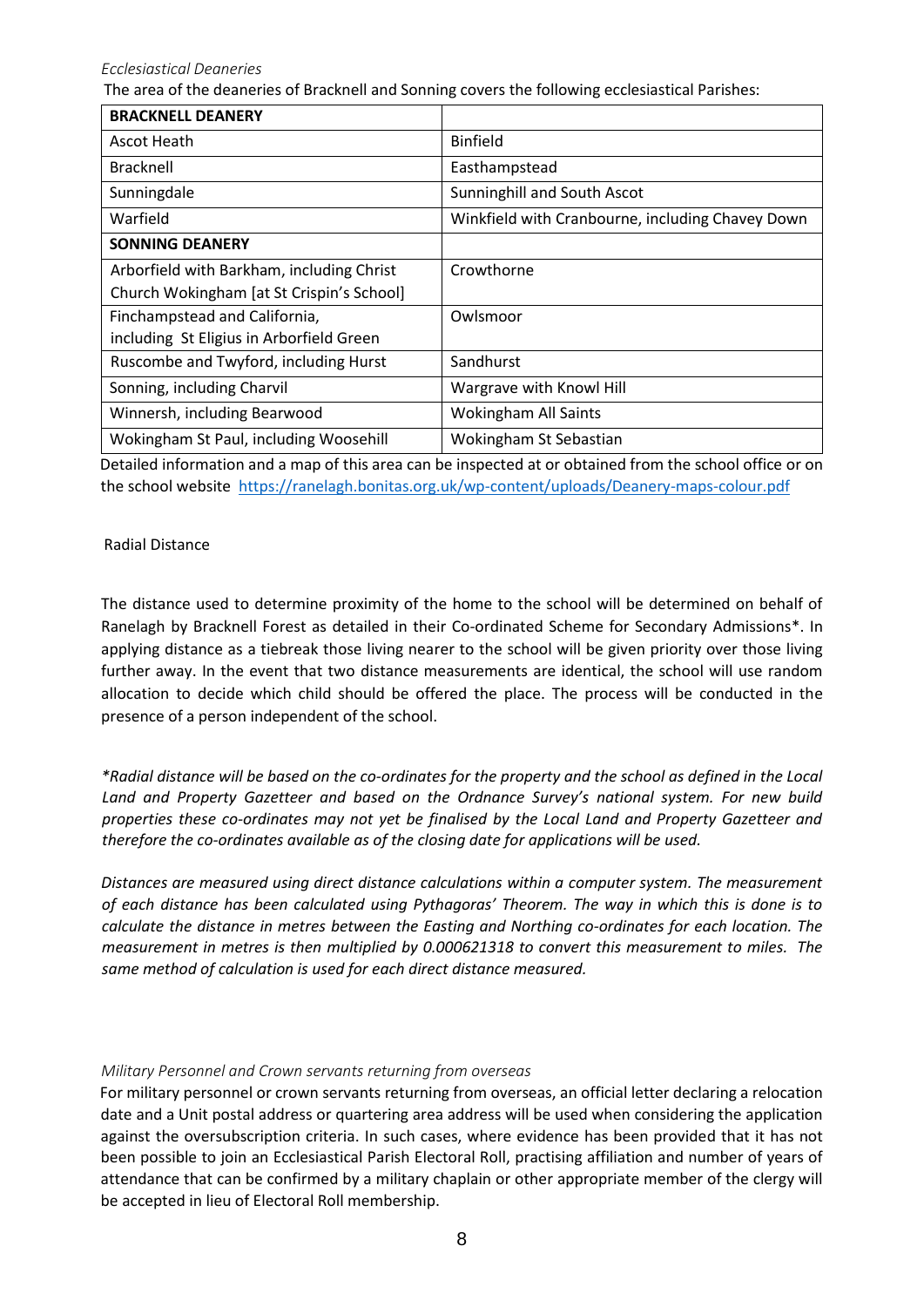*Ecclesiastical Deaneries*

The area of the deaneries of Bracknell and Sonning covers the following ecclesiastical Parishes:

| <b>BRACKNELL DEANERY</b>                  |                                                  |
|-------------------------------------------|--------------------------------------------------|
| Ascot Heath                               | <b>Binfield</b>                                  |
| <b>Bracknell</b>                          | Easthampstead                                    |
| Sunningdale                               | Sunninghill and South Ascot                      |
| Warfield                                  | Winkfield with Cranbourne, including Chavey Down |
| <b>SONNING DEANERY</b>                    |                                                  |
| Arborfield with Barkham, including Christ | Crowthorne                                       |
| Church Wokingham [at St Crispin's School] |                                                  |
| Finchampstead and California,             | Owlsmoor                                         |
| including St Eligius in Arborfield Green  |                                                  |
| Ruscombe and Twyford, including Hurst     | Sandhurst                                        |
| Sonning, including Charvil                | Wargrave with Knowl Hill                         |
| Winnersh, including Bearwood              | <b>Wokingham All Saints</b>                      |
| Wokingham St Paul, including Woosehill    | Wokingham St Sebastian                           |

Detailed information and a map of this area can be inspected at or obtained from the school office or on the school website <https://ranelagh.bonitas.org.uk/wp-content/uploads/Deanery-maps-colour.pdf>

#### Radial Distance

The distance used to determine proximity of the home to the school will be determined on behalf of Ranelagh by Bracknell Forest as detailed in their Co-ordinated Scheme for Secondary Admissions\*. In applying distance as a tiebreak those living nearer to the school will be given priority over those living further away. In the event that two distance measurements are identical, the school will use random allocation to decide which child should be offered the place. The process will be conducted in the presence of a person independent of the school.

*\*Radial distance will be based on the co-ordinates for the property and the school as defined in the Local Land and Property Gazetteer and based on the Ordnance Survey's national system. For new build properties these co-ordinates may not yet be finalised by the Local Land and Property Gazetteer and therefore the co-ordinates available as of the closing date for applications will be used.*

*Distances are measured using direct distance calculations within a computer system. The measurement of each distance has been calculated using Pythagoras' Theorem. The way in which this is done is to calculate the distance in metres between the Easting and Northing co-ordinates for each location. The measurement in metres is then multiplied by 0.000621318 to convert this measurement to miles. The same method of calculation is used for each direct distance measured.*

#### *Military Personnel and Crown servants returning from overseas*

For military personnel or crown servants returning from overseas, an official letter declaring a relocation date and a Unit postal address or quartering area address will be used when considering the application against the oversubscription criteria. In such cases, where evidence has been provided that it has not been possible to join an Ecclesiastical Parish Electoral Roll, practising affiliation and number of years of attendance that can be confirmed by a military chaplain or other appropriate member of the clergy will be accepted in lieu of Electoral Roll membership.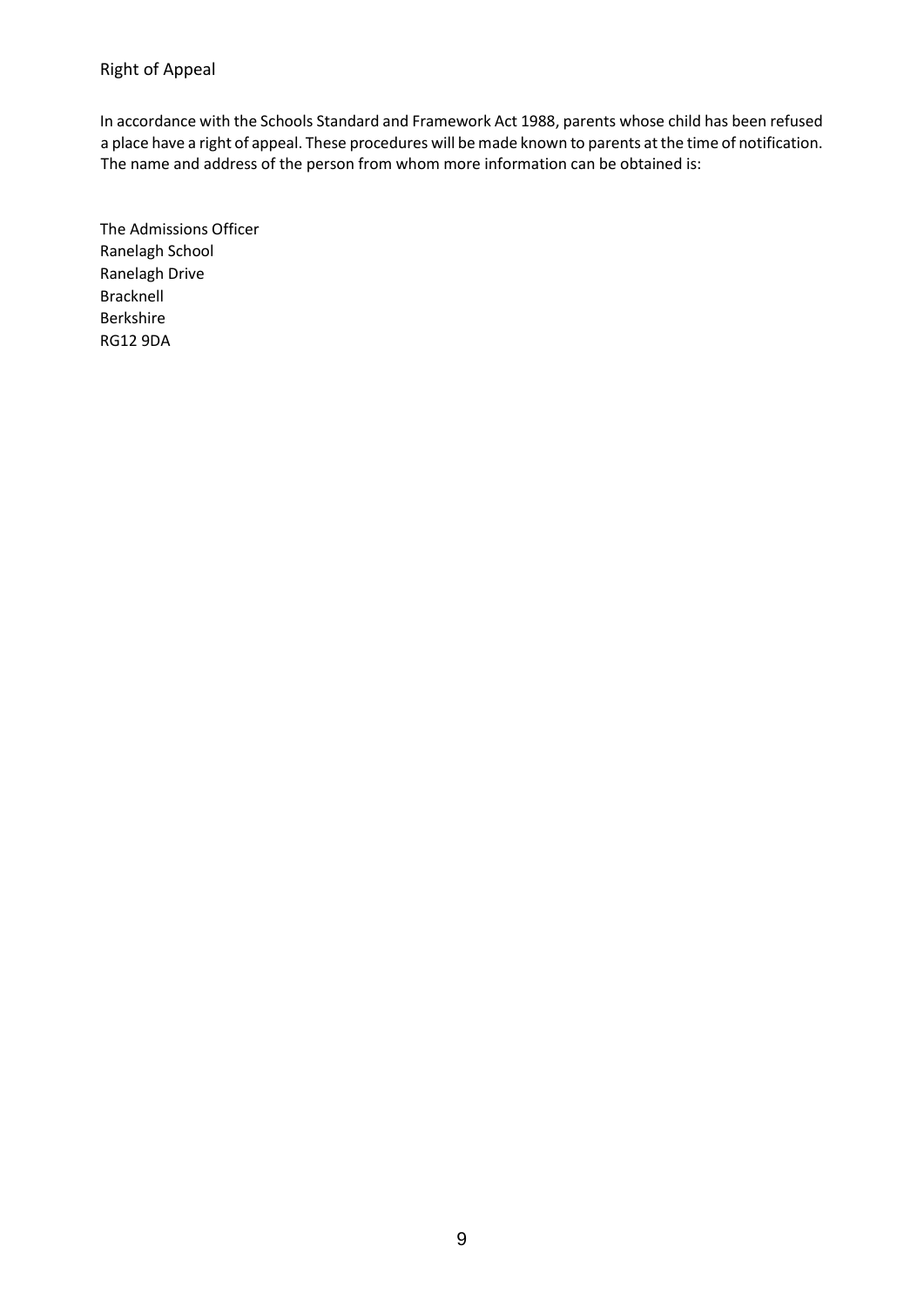### Right of Appeal

In accordance with the Schools Standard and Framework Act 1988, parents whose child has been refused a place have a right of appeal. These procedures will be made known to parents at the time of notification. The name and address of the person from whom more information can be obtained is:

The Admissions Officer Ranelagh School Ranelagh Drive Bracknell Berkshire RG12 9DA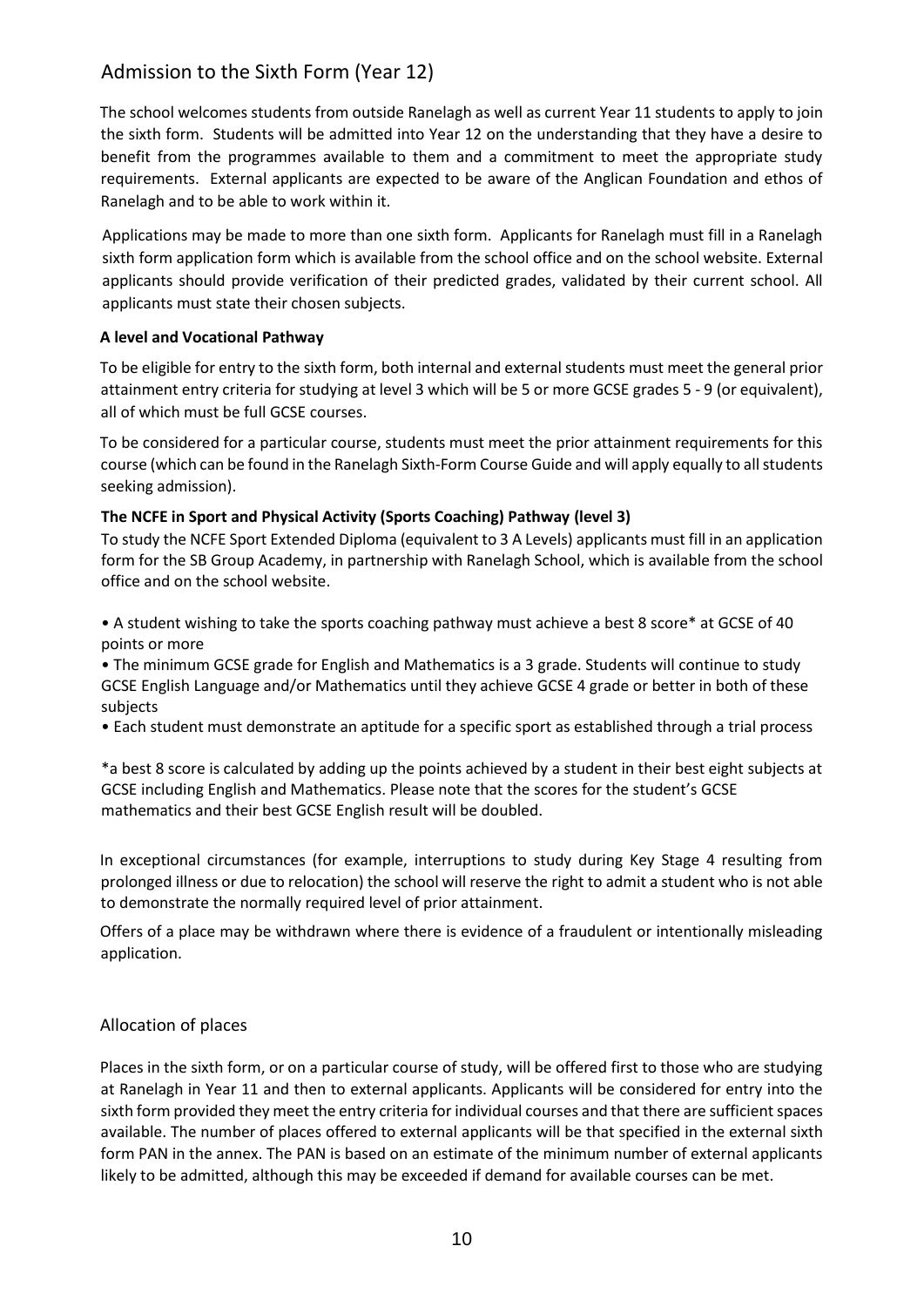### Admission to the Sixth Form (Year 12)

The school welcomes students from outside Ranelagh as well as current Year 11 students to apply to join the sixth form. Students will be admitted into Year 12 on the understanding that they have a desire to benefit from the programmes available to them and a commitment to meet the appropriate study requirements. External applicants are expected to be aware of the Anglican Foundation and ethos of Ranelagh and to be able to work within it.

Applications may be made to more than one sixth form. Applicants for Ranelagh must fill in a Ranelagh sixth form application form which is available from the school office and on the school website. External applicants should provide verification of their predicted grades, validated by their current school. All applicants must state their chosen subjects.

#### **A level and Vocational Pathway**

To be eligible for entry to the sixth form, both internal and external students must meet the general prior attainment entry criteria for studying at level 3 which will be 5 or more GCSE grades 5 - 9 (or equivalent), all of which must be full GCSE courses.

To be considered for a particular course, students must meet the prior attainment requirements for this course (which can be found in the Ranelagh Sixth-Form Course Guide and will apply equally to all students seeking admission).

#### **The NCFE in Sport and Physical Activity (Sports Coaching) Pathway (level 3)**

To study the NCFE Sport Extended Diploma (equivalent to 3 A Levels) applicants must fill in an application form for the SB Group Academy, in partnership with Ranelagh School, which is available from the school office and on the school website.

• A student wishing to take the sports coaching pathway must achieve a best 8 score\* at GCSE of 40 points or more

• The minimum GCSE grade for English and Mathematics is a 3 grade. Students will continue to study GCSE English Language and/or Mathematics until they achieve GCSE 4 grade or better in both of these subjects

• Each student must demonstrate an aptitude for a specific sport as established through a trial process

\*a best 8 score is calculated by adding up the points achieved by a student in their best eight subjects at GCSE including English and Mathematics. Please note that the scores for the student's GCSE mathematics and their best GCSE English result will be doubled.

In exceptional circumstances (for example, interruptions to study during Key Stage 4 resulting from prolonged illness or due to relocation) the school will reserve the right to admit a student who is not able to demonstrate the normally required level of prior attainment.

Offers of a place may be withdrawn where there is evidence of a fraudulent or intentionally misleading application.

#### Allocation of places

Places in the sixth form, or on a particular course of study, will be offered first to those who are studying at Ranelagh in Year 11 and then to external applicants. Applicants will be considered for entry into the sixth form provided they meet the entry criteria for individual courses and that there are sufficient spaces available. The number of places offered to external applicants will be that specified in the external sixth form PAN in the annex. The PAN is based on an estimate of the minimum number of external applicants likely to be admitted, although this may be exceeded if demand for available courses can be met.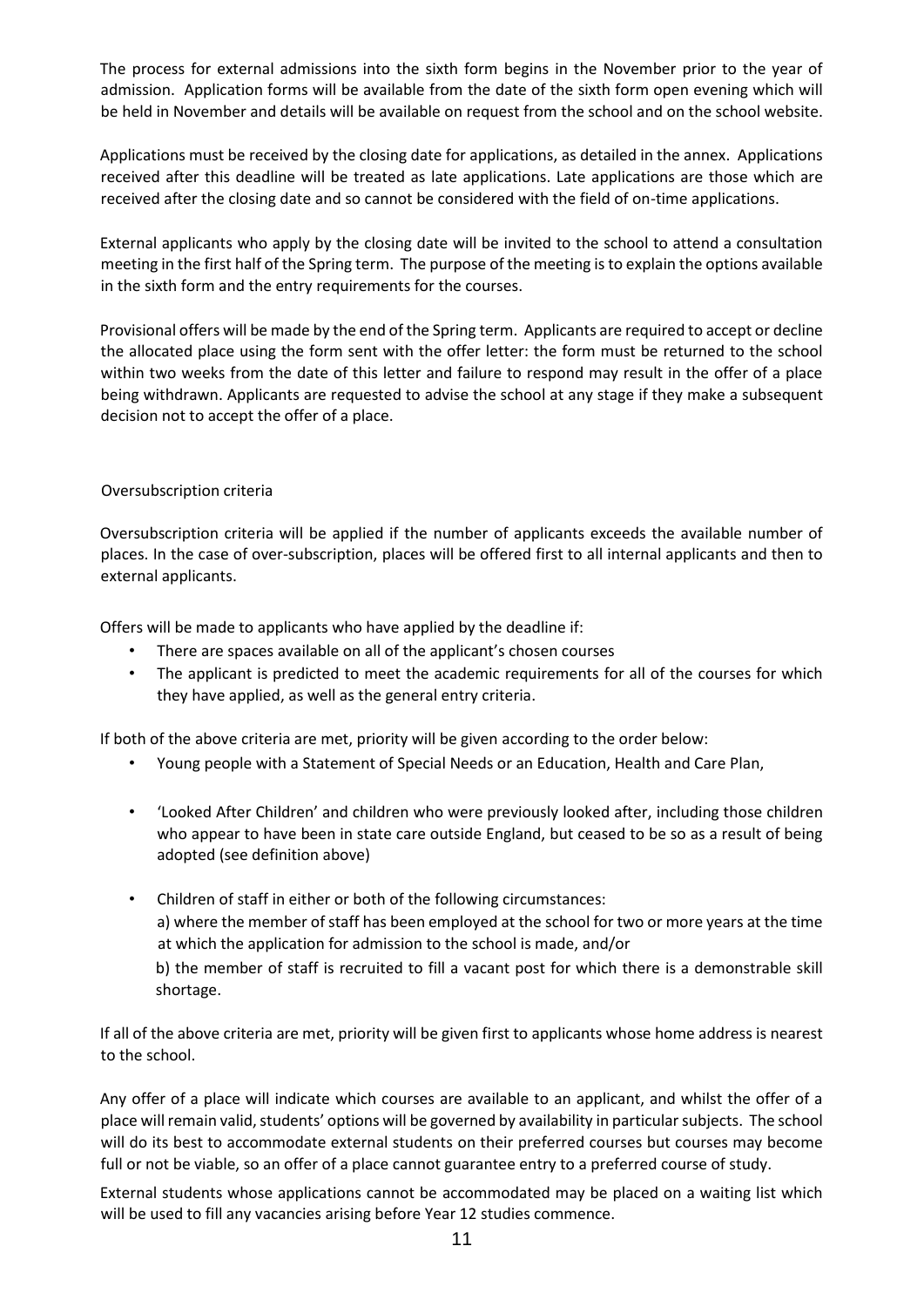The process for external admissions into the sixth form begins in the November prior to the year of admission. Application forms will be available from the date of the sixth form open evening which will be held in November and details will be available on request from the school and on the school website.

Applications must be received by the closing date for applications, as detailed in the annex. Applications received after this deadline will be treated as late applications. Late applications are those which are received after the closing date and so cannot be considered with the field of on-time applications.

External applicants who apply by the closing date will be invited to the school to attend a consultation meeting in the first half of the Spring term. The purpose of the meeting is to explain the options available in the sixth form and the entry requirements for the courses.

Provisional offers will be made by the end of the Spring term. Applicants are required to accept or decline the allocated place using the form sent with the offer letter: the form must be returned to the school within two weeks from the date of this letter and failure to respond may result in the offer of a place being withdrawn. Applicants are requested to advise the school at any stage if they make a subsequent decision not to accept the offer of a place.

#### Oversubscription criteria

Oversubscription criteria will be applied if the number of applicants exceeds the available number of places. In the case of over-subscription, places will be offered first to all internal applicants and then to external applicants.

Offers will be made to applicants who have applied by the deadline if:

- There are spaces available on all of the applicant's chosen courses
- The applicant is predicted to meet the academic requirements for all of the courses for which they have applied, as well as the general entry criteria.

If both of the above criteria are met, priority will be given according to the order below:

- Young people with a Statement of Special Needs or an Education, Health and Care Plan,
- 'Looked After Children' and children who were previously looked after, including those children who appear to have been in state care outside England, but ceased to be so as a result of being adopted (see definition above)
- Children of staff in either or both of the following circumstances:

a) where the member of staff has been employed at the school for two or more years at the time at which the application for admission to the school is made, and/or

b) the member of staff is recruited to fill a vacant post for which there is a demonstrable skill shortage.

If all of the above criteria are met, priority will be given first to applicants whose home address is nearest to the school.

Any offer of a place will indicate which courses are available to an applicant, and whilst the offer of a place will remain valid, students' options will be governed by availability in particular subjects. The school will do its best to accommodate external students on their preferred courses but courses may become full or not be viable, so an offer of a place cannot guarantee entry to a preferred course of study.

External students whose applications cannot be accommodated may be placed on a waiting list which will be used to fill any vacancies arising before Year 12 studies commence.